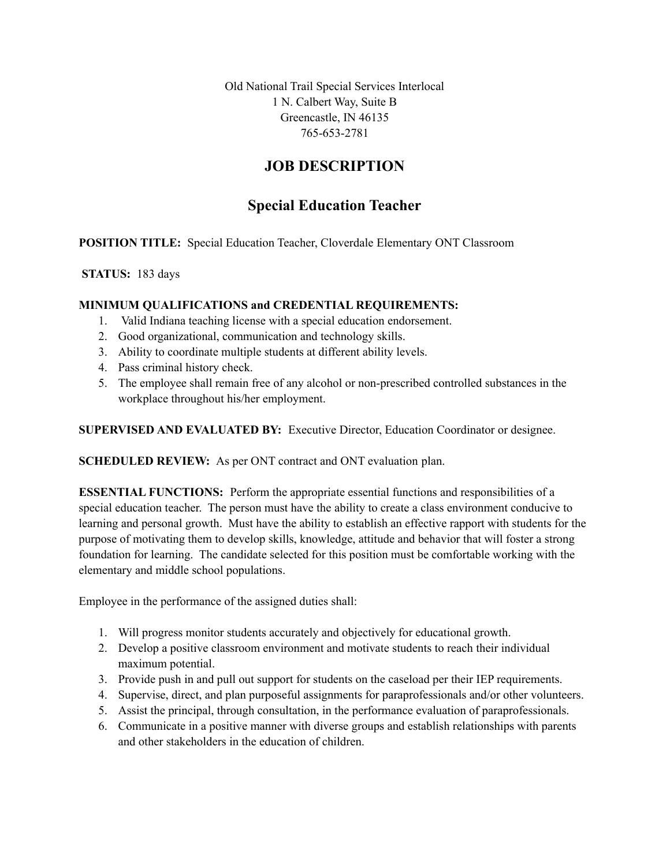Old National Trail Special Services Interlocal 1 N. Calbert Way, Suite B Greencastle, IN 46135 765-653-2781

## **JOB DESCRIPTION**

# **Special Education Teacher**

**POSITION TITLE:** Special Education Teacher, Cloverdale Elementary ONT Classroom

## **STATUS:** 183 days

### **MINIMUM QUALIFICATIONS and CREDENTIAL REQUIREMENTS:**

- 1. Valid Indiana teaching license with a special education endorsement.
- 2. Good organizational, communication and technology skills.
- 3. Ability to coordinate multiple students at different ability levels.
- 4. Pass criminal history check.
- 5. The employee shall remain free of any alcohol or non-prescribed controlled substances in the workplace throughout his/her employment.

**SUPERVISED AND EVALUATED BY:** Executive Director, Education Coordinator or designee.

**SCHEDULED REVIEW:** As per ONT contract and ONT evaluation plan.

**ESSENTIAL FUNCTIONS:** Perform the appropriate essential functions and responsibilities of a special education teacher. The person must have the ability to create a class environment conducive to learning and personal growth. Must have the ability to establish an effective rapport with students for the purpose of motivating them to develop skills, knowledge, attitude and behavior that will foster a strong foundation for learning. The candidate selected for this position must be comfortable working with the elementary and middle school populations.

Employee in the performance of the assigned duties shall:

- 1. Will progress monitor students accurately and objectively for educational growth.
- 2. Develop a positive classroom environment and motivate students to reach their individual maximum potential.
- 3. Provide push in and pull out support for students on the caseload per their IEP requirements.
- 4. Supervise, direct, and plan purposeful assignments for paraprofessionals and/or other volunteers.
- 5. Assist the principal, through consultation, in the performance evaluation of paraprofessionals.
- 6. Communicate in a positive manner with diverse groups and establish relationships with parents and other stakeholders in the education of children.